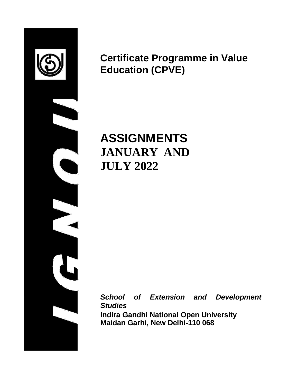

**Certificate Programme in Value Education (CPVE)**

**ASSIGNMENTS JANUARY AND JULY 2022**

*School of Extension and Development Studies*

**Indira Gandhi National Open University Maidan Garhi, New Delhi-110 068**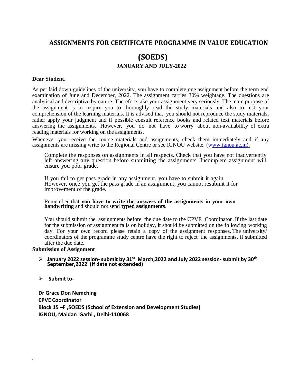## **ASSIGNMENTS FOR CERTIFICATE PROGRAMME IN VALUE EDUCATION**

# **(SOEDS) JANUARY AND JULY-2022**

#### **Dear Student,**

As per laid down guidelines of the university, you have to complete one assignment before the term end examination of June and December, 2022. The assignment carries 30% weightage. The questions are analytical and descriptive by nature. Therefore take your assignment very seriously. The main purpose of the assignment is to inspire you to thoroughly read the study materials and also to test your comprehension of the learning materials. It is advised that you should not reproduce the study materials, rather apply your judgment and if possible consult reference books and related text materials before answering the assignments. However, you do not have to worry about non-availability of extra reading materials for working on the assignments.

Whenever you receive the course materials and assignments, check them immediately and if any assignments are missing write to the Regional Centre or see IGNOU website. [\(www.ignou.ac.in](http://www.ignou.ac.in/)).

Complete the responses on assignments in all respects. Check that you have not inadvertently left answering any question before submitting the assignments. Incomplete assignment will ensure you poor grade.

If you fail to get pass grade in any assignment, you have to submit it again. However, once you get the pass grade in an assignment, you cannot resubmit it for improvement of the grade.

#### Remember that **you have to write the answers of the assignments in your own handwriting** and should not send **typed assignments**.

You should submit the assignments before the due date to the CPVE Coordinator .If the last date for the submission of assignment falls on holiday, it should be submitted on the following working day. For your own record please retain a copy of the assignment responses. The university/ coordinators of the programme study centre have the right to reject the assignments, if submitted after the due date.

#### **Submission of Assignment**

#### **January 2022 session-submit by 31st March,2022 and July 2022 session- submit by 30th September,2022 (If date not extended)**

**Submit to-**

.

**Dr Grace Don Nemching CPVE Coordinator Block 15 –F ,SOEDS (School of Extension and Development Studies) IGNOU, Maidan Garhi , Delhi-110068**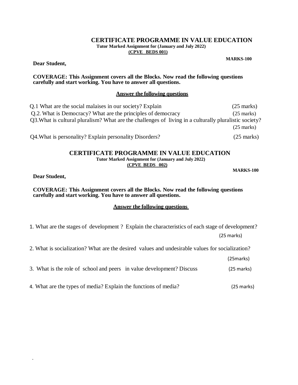## **CERTIFICATE PROGRAMME IN VALUE EDUCATION**

**Tutor Marked Assignment for (January and July 2022)**

**(CPVE BEDS 001)**

**Dear Student,**

#### **COVERAGE: This Assignment covers all the Blocks. Now read the following questions carefully and start working. You have to answer all questions.**

### **Answer the following questions**

Q.1 What are the social malaises in our society? Explain (25 marks) Q.2. What is Democracy? What are the principles of democracy (25 marks) Q3.What is cultural pluralism? What are the challenges of living in a culturally pluralistic society? (25 marks)

Q4.What is personality? Explain personality Disorders? (25 marks)

## **CERTIFICATE PROGRAMME IN VALUE EDUCATION**

**Tutor Marked Assignment for (January and July 2022) (CPVE BEDS 002)**

**MARKS-100**

**Dear Student,**

.

**COVERAGE: This Assignment covers all the Blocks. Now read the following questions carefully and start working. You have to answer all questions.**

## **Answer the following questions**

1. What are the stages of development ? Explain the characteristics of each stage of development?

(25 marks)

2. What is socialization? What are the desired values and undesirable values for socialization?

(25marks)

|  | 3. What is the role of school and peers in value development? Discuss | (25 marks) |
|--|-----------------------------------------------------------------------|------------|
|  |                                                                       |            |

4. What are the types of media? Explain the functions of media? (25 marks)

**MARKS-100**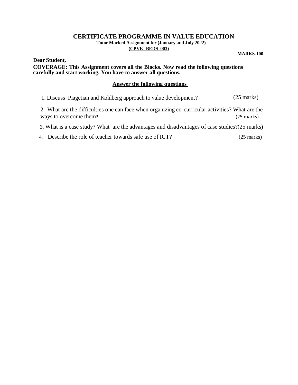#### **CERTIFICATE PROGRAMME IN VALUE EDUCATION Tutor Marked Assignment for (January and July 2022)**

### **(CPVE BEDS 003)**

**MARKS-100**

**Dear Student, COVERAGE: This Assignment covers all the Blocks. Now read the following questions carefully and start working. You have to answer all questions.**

## **Answer the following questions**

1. Discuss Piagetian and Kohlberg approach to value development? (25 marks)

2. What are the difficulties one can face when organizing co-curricular activities? What are the ways to overcome them**?** (25 marks)

3. What is a case study? What are the advantages and disadvantages of case studies?(25 marks)

## 4. Describe the role of teacher towards safe use of ICT? (25 marks)